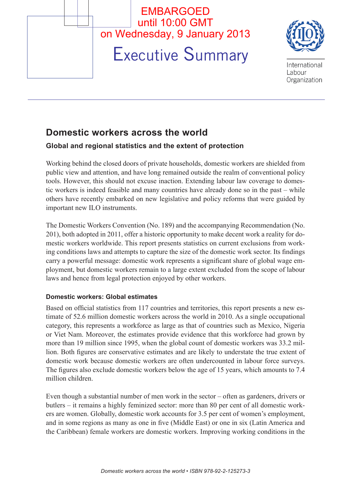

# **Domestic workers across the world**

## **Global and regional statistics and the extent of protection**

Working behind the closed doors of private households, domestic workers are shielded from public view and attention, and have long remained outside the realm of conventional policy tools. However, this should not excuse inaction. Extending labour law coverage to domestic workers is indeed feasible and many countries have already done so in the past – while others have recently embarked on new legislative and policy reforms that were guided by important new ILO instruments.

The Domestic Workers Convention (No. 189) and the accompanying Recommendation (No. 201), both adopted in 2011, offer a historic opportunity to make decent work a reality for domestic workers worldwide. This report presents statistics on current exclusions from working conditions laws and attempts to capture the size of the domestic work sector. Its findings carry a powerful message: domestic work represents a significant share of global wage employment, but domestic workers remain to a large extent excluded from the scope of labour laws and hence from legal protection enjoyed by other workers.

## **Domestic workers: Global estimates**

Based on official statistics from 117 countries and territories, this report presents a new estimate of 52.6 million domestic workers across the world in 2010. As a single occupational category, this represents a workforce as large as that of countries such as Mexico, Nigeria or Viet Nam. Moreover, the estimates provide evidence that this workforce had grown by more than 19 million since 1995, when the global count of domestic workers was 33.2 million. Both figures are conservative estimates and are likely to understate the true extent of domestic work because domestic workers are often undercounted in labour force surveys. The figures also exclude domestic workers below the age of 15 years, which amounts to 7.4 million children.

Even though a substantial number of men work in the sector – often as gardeners, drivers or butlers – it remains a highly feminized sector: more than 80 per cent of all domestic workers are women. Globally, domestic work accounts for 3.5 per cent of women's employment, and in some regions as many as one in five (Middle East) or one in six (Latin America and the Caribbean) female workers are domestic workers. Improving working conditions in the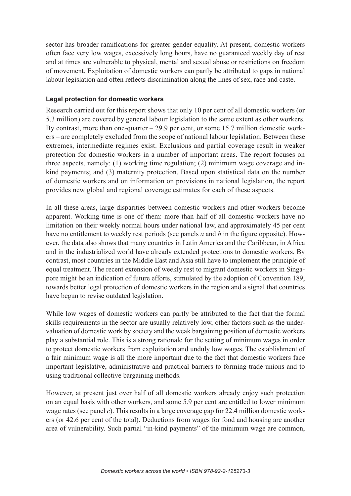sector has broader ramifications for greater gender equality. At present, domestic workers often face very low wages, excessively long hours, have no guaranteed weekly day of rest and at times are vulnerable to physical, mental and sexual abuse or restrictions on freedom of movement. Exploitation of domestic workers can partly be attributed to gaps in national labour legislation and often reflects discrimination along the lines of sex, race and caste.

## **Legal protection for domestic workers**

Research carried out for this report shows that only 10 per cent of all domestic workers (or 5.3 million) are covered by general labour legislation to the same extent as other workers. By contrast, more than one-quarter  $-29.9$  per cent, or some 15.7 million domestic workers – are completely excluded from the scope of national labour legislation. Between these extremes, intermediate regimes exist. Exclusions and partial coverage result in weaker protection for domestic workers in a number of important areas. The report focuses on three aspects, namely: (1) working time regulation; (2) minimum wage coverage and inkind payments; and (3) maternity protection. Based upon statistical data on the number of domestic workers and on information on provisions in national legislation, the report provides new global and regional coverage estimates for each of these aspects.

In all these areas, large disparities between domestic workers and other workers become apparent. Working time is one of them: more than half of all domestic workers have no limitation on their weekly normal hours under national law, and approximately 45 per cent have no entitlement to weekly rest periods (see panels *a* and *b* in the figure opposite). However, the data also shows that many countries in Latin America and the Caribbean, in Africa and in the industrialized world have already extended protections to domestic workers. By contrast, most countries in the Middle East and Asia still have to implement the principle of equal treatment. The recent extension of weekly rest to migrant domestic workers in Singapore might be an indication of future efforts, stimulated by the adoption of Convention 189, towards better legal protection of domestic workers in the region and a signal that countries have begun to revise outdated legislation.

While low wages of domestic workers can partly be attributed to the fact that the formal skills requirements in the sector are usually relatively low, other factors such as the undervaluation of domestic work by society and the weak bargaining position of domestic workers play a substantial role. This is a strong rationale for the setting of minimum wages in order to protect domestic workers from exploitation and unduly low wages. The establishment of a fair minimum wage is all the more important due to the fact that domestic workers face important legislative, administrative and practical barriers to forming trade unions and to using traditional collective bargaining methods.

However, at present just over half of all domestic workers already enjoy such protection on an equal basis with other workers, and some 5.9 per cent are entitled to lower minimum wage rates (see panel *c*). This results in a large coverage gap for 22.4 million domestic workers (or 42.6 per cent of the total). Deductions from wages for food and housing are another area of vulnerability. Such partial "in-kind payments" of the minimum wage are common,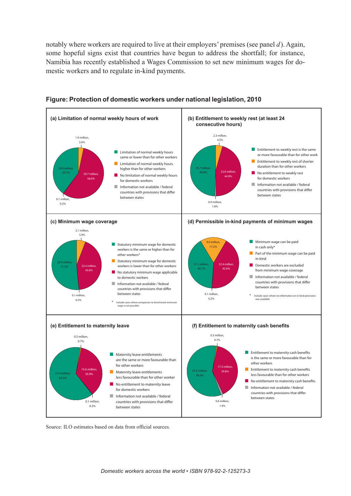notably where workers are required to live at their employers' premises (see panel *d*). Again, some hopeful signs exist that countries have begun to address the shortfall; for instance, Namibia has recently established a Wages Commission to set new minimum wages for domestic workers and to regulate in-kind payments.



#### **Figure: Protection of domestic workers under national legislation, 2010**

Source: ILO estimates based on data from official sources.